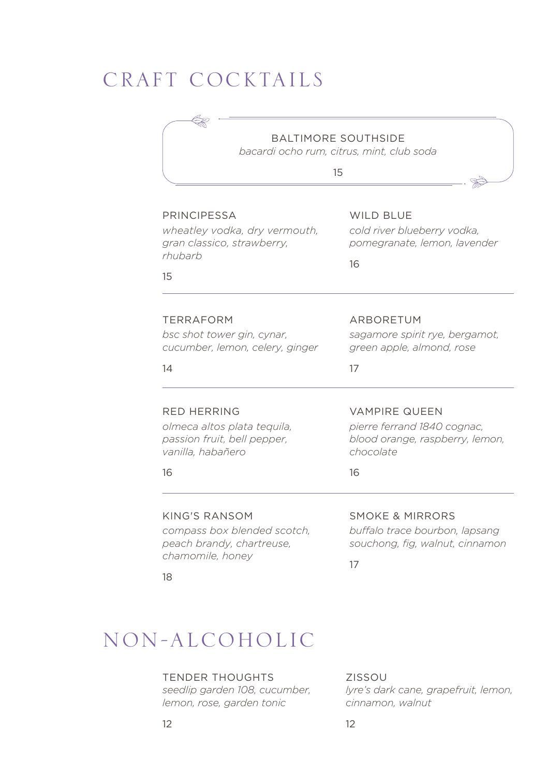## CRAFT COCKTAILS

## BALTIMORE SOUTHSIDE

*bacardi ocho rum, citrus, mint, club soda*

15

#### PRINCIPESSA *wheatley vodka, dry vermouth, gran classico, strawberry, rhubarb*  15 TERRAFORM *bsc shot tower gin, cynar, cucumber, lemon, celery, ginger*  14 RED HERRING *olmeca altos plata tequila, passion fruit, bell pepper, vanilla, habañero* 16 KING'S RANSOM *compass box blended scotch, peach brandy, chartreuse, chamomile, honey*  WILD BLUF *cold river blueberry vodka, pomegranate, lemon, lavender* 16 ARBORETUM *sagamore spirit rye, bergamot, green apple, almond, rose* 17 VAMPIRE QUEEN *pierre ferrand 1840 cognac, blood orange, raspberry, lemon, chocolate* 16 SMOKE & MIRRORS *buffalo trace bourbon, lapsang souchong, fig, walnut, cinnamon*

18

17

## NON-ALCOHOLIC

### TENDER THOUGHTS

*seedlip garden 108, cucumber, lemon, rose, garden tonic*

ZISSOU *lyre's dark cane, grapefruit, lemon, cinnamon, walnut*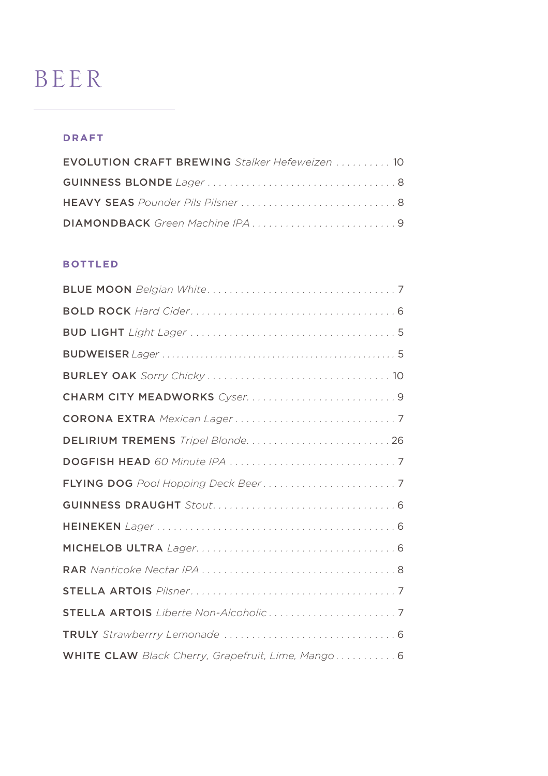# BEER

### **draft**

| EVOLUTION CRAFT BREWING Stalker Hefeweizen  10 |
|------------------------------------------------|
|                                                |
|                                                |
|                                                |

### **bottled**

| DELIRIUM TREMENS Tripel Blonde 26                  |
|----------------------------------------------------|
|                                                    |
|                                                    |
|                                                    |
|                                                    |
|                                                    |
|                                                    |
|                                                    |
|                                                    |
|                                                    |
| WHITE CLAW Black Cherry, Grapefruit, Lime, Mango 6 |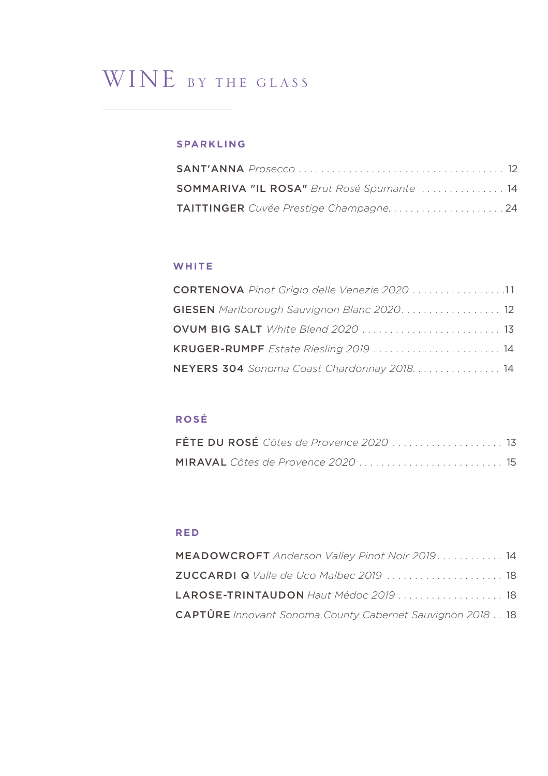## WINE BY THE GLASS

## **sparkling**

| SOMMARIVA "IL ROSA" Brut Rosé Spumante  14 |  |
|--------------------------------------------|--|
|                                            |  |

### **white**

| CORTENOVA Pinot Grigio delle Venezie 2020 11      |
|---------------------------------------------------|
| <b>GIESEN</b> Marlborough Sauvignon Blanc 2020 12 |
| OVUM BIG SALT White Blend 2020  13                |
| KRUGER-RUMPF Estate Riesling 2019  14             |
| NEYERS 304 Sonoma Coast Chardonnay 2018. 14       |

## **rosé**

| FÊTE DU ROSÉ Côtes de Provence 2020  13 |  |
|-----------------------------------------|--|
|                                         |  |

## **red**

| <b>MEADOWCROFT</b> Anderson Valley Pinot Noir 2019. 14           |  |
|------------------------------------------------------------------|--|
| ZUCCARDI Q Valle de Uco Malbec 2019  18                          |  |
| LAROSE-TRINTAUDON Haut Médoc 2019  18                            |  |
| <b>CAPTÛRE</b> Innovant Sonoma County Cabernet Sauvignon 2018 18 |  |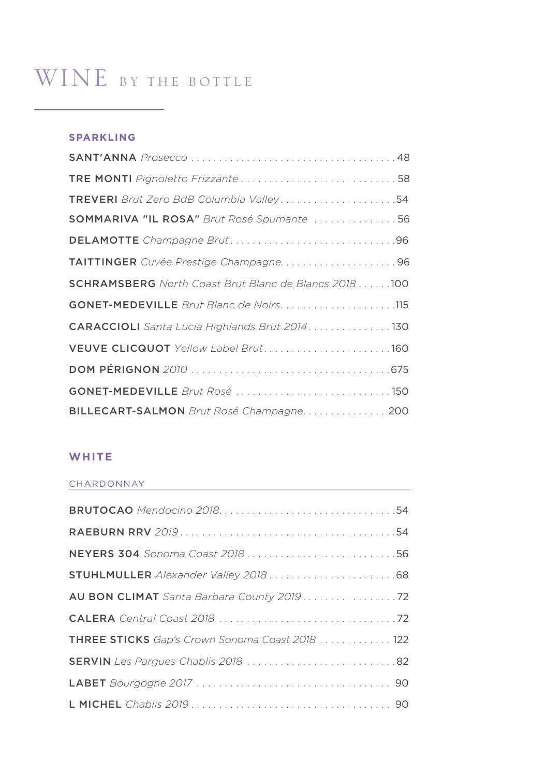# WINE BY THE BOTTLE

### **sparkling**

| TREVERI Brut Zero BdB Columbia Valley54                      |
|--------------------------------------------------------------|
| SOMMARIVA "IL ROSA" Brut Rosé Spumante 56                    |
|                                                              |
| TAITTINGER Cuvée Prestige Champagne96                        |
| <b>SCHRAMSBERG</b> North Coast Brut Blanc de Blancs 2018 100 |
| GONET-MEDEVILLE Brut Blanc de Noirs115                       |
| CARACCIOLI Santa Lucia Highlands Brut 2014. 130              |
|                                                              |
|                                                              |
|                                                              |
| BILLECART-SALMON Brut Rosé Champagne. 200                    |

## **white**

#### CHARDONNAY

| NEYERS 304 Sonoma Coast 2018 56                |
|------------------------------------------------|
|                                                |
| AU BON CLIMAT Santa Barbara County 2019. 72    |
|                                                |
| THREE STICKS Gap's Crown Sonoma Coast 2018 122 |
|                                                |
|                                                |
|                                                |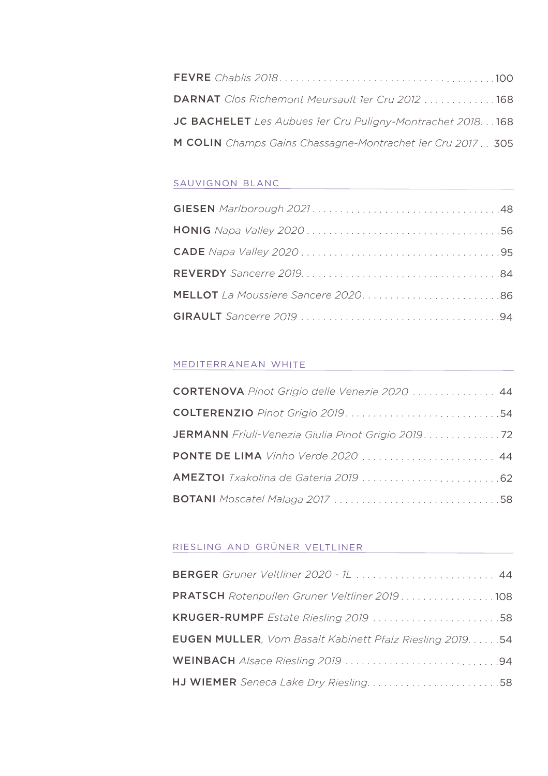| DARNAT Clos Richemont Meursault 1er Cru 2012 168           |  |
|------------------------------------------------------------|--|
| JC BACHELET Les Aubues 1er Cru Puligny-Montrachet 2018168  |  |
| M COLIN Champs Gains Chassagne-Montrachet 1er Cru 2017 305 |  |

### sauvignon blanc

### mediterranean white

| CORTENOVA Pinot Grigio delle Venezie 2020  44       |
|-----------------------------------------------------|
|                                                     |
| JERMANN Friuli-Venezia Giulia Pinot Grigio 2019. 72 |
| PONTE DE LIMA Vinho Verde 2020  44                  |
|                                                     |
|                                                     |

### riesling and grüner veltliner

| BERGER Gruner Veltliner 2020 - 1L  44                     |
|-----------------------------------------------------------|
| PRATSCH Rotenpullen Gruner Veltliner 2019108              |
|                                                           |
| EUGEN MULLER, Vom Basalt Kabinett Pfalz Riesling 2019. 54 |
|                                                           |
|                                                           |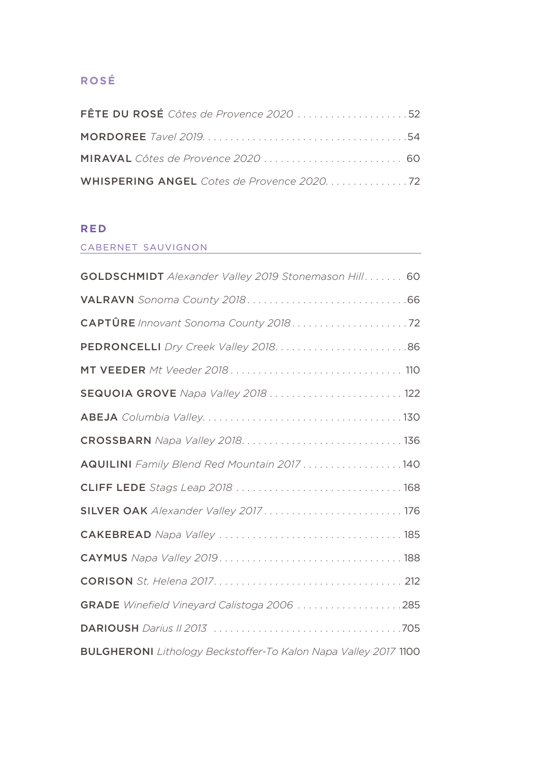## **rosé**

| FÊTE DU ROSÉ Côtes de Provence 2020 52      |  |
|---------------------------------------------|--|
|                                             |  |
|                                             |  |
| WHISPERING ANGEL Cotes de Provence 2020. 72 |  |

## **red**

### cabernet sauvignon

| <b>GOLDSCHMIDT</b> Alexander Valley 2019 Stonemason Hill 60            |
|------------------------------------------------------------------------|
|                                                                        |
|                                                                        |
|                                                                        |
|                                                                        |
| SEQUOIA GROVE Napa Valley 2018  122                                    |
|                                                                        |
|                                                                        |
| AQUILINI Family Blend Red Mountain 2017 140                            |
| CLIFF LEDE Stags Leap 2018  168                                        |
|                                                                        |
|                                                                        |
|                                                                        |
|                                                                        |
| GRADE Winefield Vineyard Calistoga 2006 285                            |
|                                                                        |
| <b>BULGHERONI</b> Lithology Beckstoffer-To Kalon Napa Valley 2017 1100 |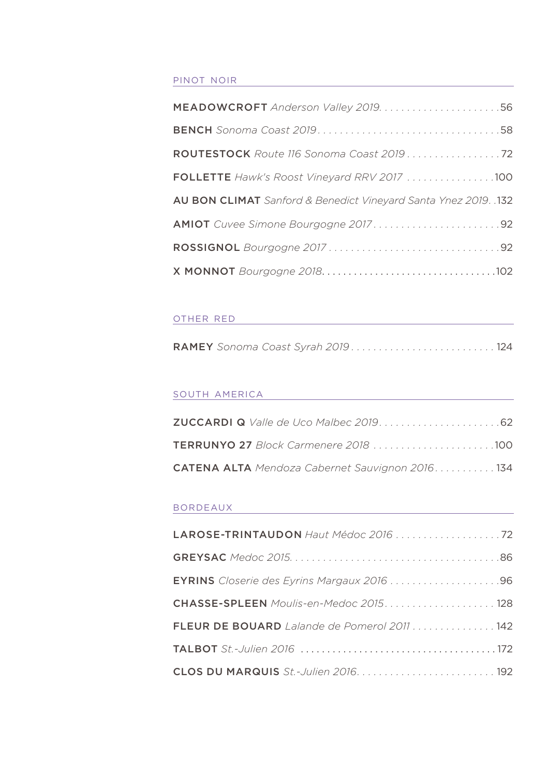#### pinot noir

| FOLLETTE Hawk's Roost Vineyard RRV 2017 100                     |
|-----------------------------------------------------------------|
| AU BON CLIMAT Sanford & Benedict Vineyard Santa Ynez 2019. .132 |
|                                                                 |
|                                                                 |
|                                                                 |

#### other red

|--|

#### south america

| <b>CATENA ALTA</b> Mendoza Cabernet Sauvignon 2016. 134 |
|---------------------------------------------------------|

#### bordeaux

| EYRINS Closerie des Eyrins Margaux 2016 96   |
|----------------------------------------------|
|                                              |
| FLEUR DE BOUARD Lalande de Pomerol 2011  142 |
|                                              |
|                                              |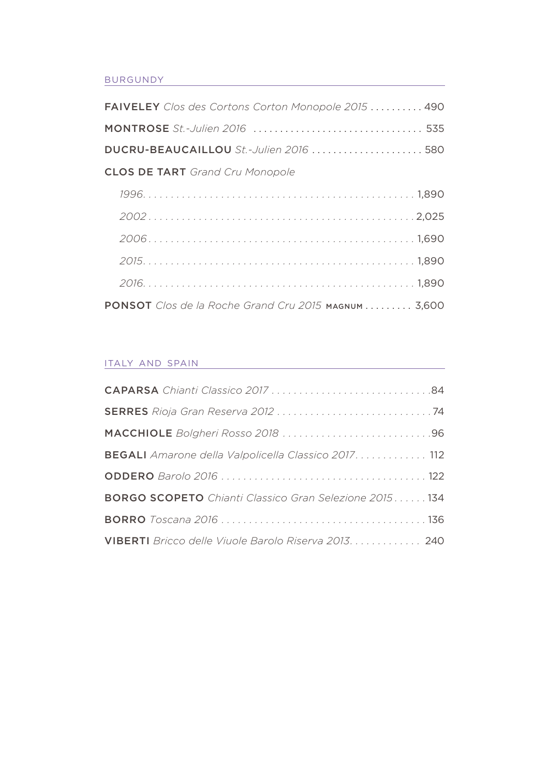#### **BURGUNDY**

| <b>FAIVELEY</b> Clos des Cortons Corton Monopole 2015  490 |  |
|------------------------------------------------------------|--|
|                                                            |  |
| DUCRU-BEAUCAILLOU St.-Julien 2016  580                     |  |
| <b>CLOS DE TART</b> Grand Cru Monopole                     |  |
|                                                            |  |
|                                                            |  |
|                                                            |  |
|                                                            |  |
|                                                            |  |
| PONSOT Clos de la Roche Grand Cru 2015 MAGNUM 3,600        |  |

#### italy and spain

| <b>BEGALI</b> Amarone della Valpolicella Classico 2017. 112   |
|---------------------------------------------------------------|
|                                                               |
| <b>BORGO SCOPETO</b> Chianti Classico Gran Selezione 2015 134 |
|                                                               |
| VIBERTI Bricco delle Viuole Barolo Riserva 2013. 240          |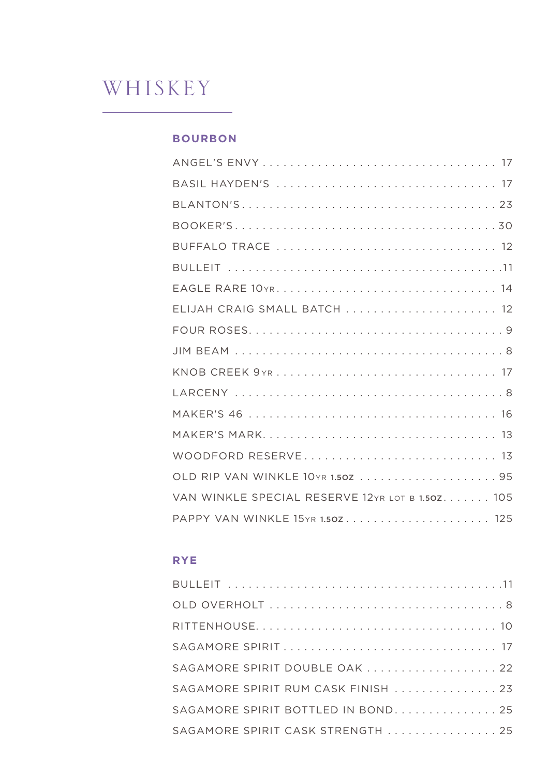## WHISKEY

#### **BOURBON**

| ELIJAH CRAIG SMALL BATCH  12                     |
|--------------------------------------------------|
|                                                  |
|                                                  |
|                                                  |
|                                                  |
|                                                  |
|                                                  |
| WOODFORD RESERVE 13                              |
|                                                  |
| VAN WINKLE SPECIAL RESERVE 12YR LOT B 1.50Z. 105 |
| PAPPY VAN WINKLE 15YR 1.50Z 125                  |

## **RYE**

| SAGAMORE SPIRIT DOUBLE OAK 22      |
|------------------------------------|
| SAGAMORE SPIRIT RUM CASK FINISH 23 |
| SAGAMORE SPIRIT BOTTLED IN BOND 25 |
| SAGAMORE SPIRIT CASK STRENGTH  25  |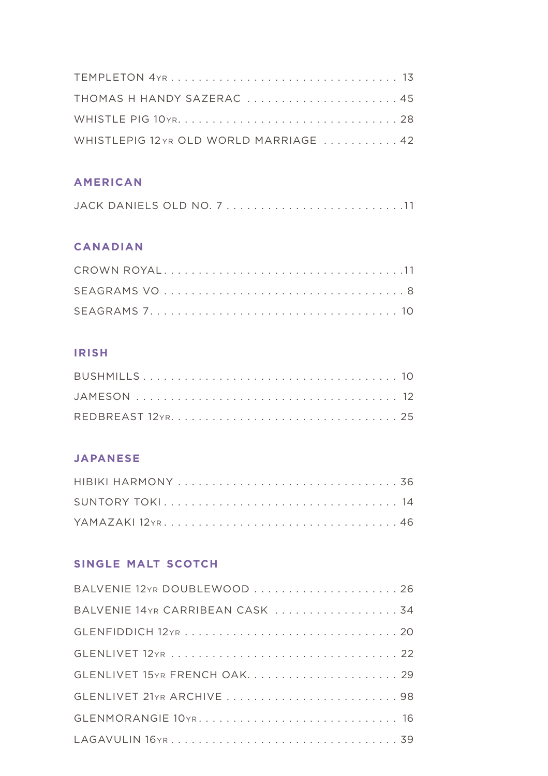| THOMAS H HANDY SAZERAC  45              |  |
|-----------------------------------------|--|
|                                         |  |
| WHISTLEPIG 12 YR OLD WORLD MARRIAGE  42 |  |

## **american**

|  |  | JACK DANIELS OLD NO. 711 |
|--|--|--------------------------|
|  |  |                          |

## **canadian**

## **irish**

## **japanese**

| SUNTORY TOKI 14 |  |
|-----------------|--|
|                 |  |

## **single malt scotch**

| BALVENIE 12YR DOUBLEWOOD  26    |
|---------------------------------|
| BALVENIE 14YR CARRIBEAN CASK 34 |
|                                 |
|                                 |
| GLENLIVET 15YR FRENCH OAK 29    |
|                                 |
|                                 |
|                                 |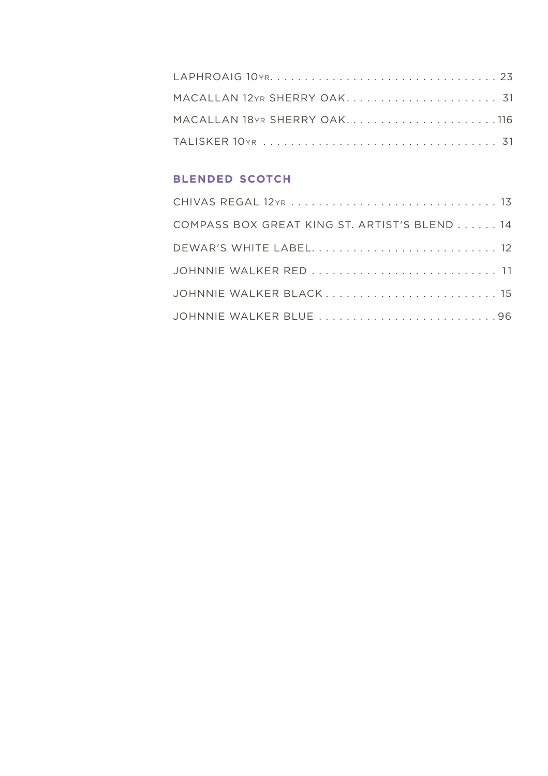| MACALLAN 18YR SHERRY OAK116 |  |
|-----------------------------|--|
|                             |  |

## **blended scotch**

| COMPASS BOX GREAT KING ST. ARTIST'S BLEND 14 |
|----------------------------------------------|
|                                              |
| JOHNNIE WALKER RED  11                       |
| JOHNNIE WALKER BLACK 15                      |
|                                              |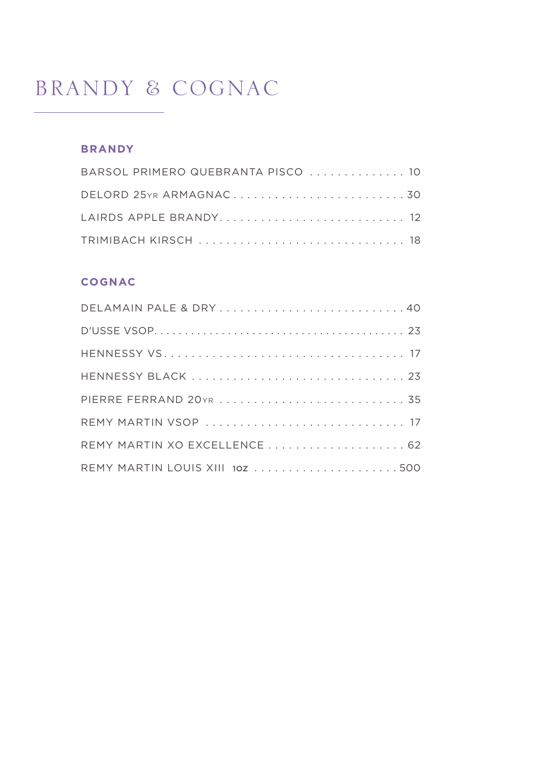## **BRANDY & COGNAC**

## **BRANDY**

| BARSOL PRIMERO QUEBRANTA PISCO  10 |  |
|------------------------------------|--|
|                                    |  |
|                                    |  |
|                                    |  |

### **COGNAC**

| DELAMAIN PALE & DRY40          |  |
|--------------------------------|--|
|                                |  |
|                                |  |
|                                |  |
|                                |  |
|                                |  |
|                                |  |
| REMY MARTIN LOUIS XIII 102 500 |  |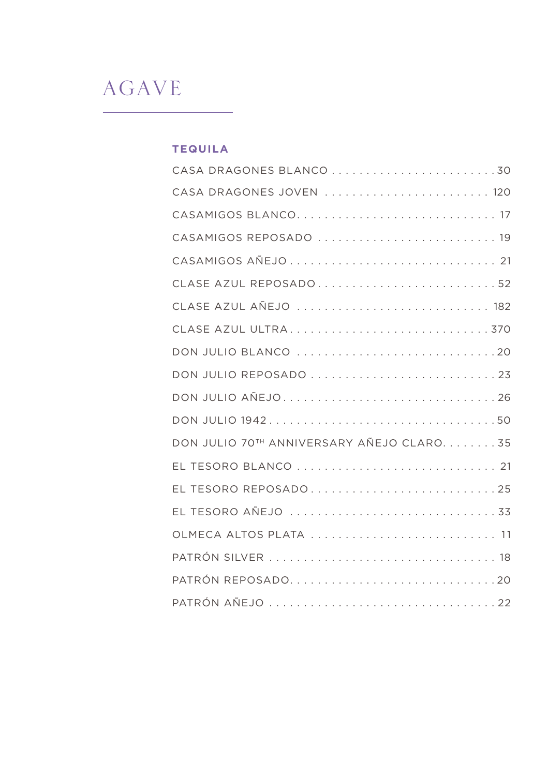## AGAVE

## **tequila**

| CASA DRAGONES JOVEN  120                 |
|------------------------------------------|
|                                          |
| CASAMIGOS REPOSADO  19                   |
|                                          |
| CLASE AZUL REPOSADO52                    |
| CLASE AZUL AÑEJO  182                    |
|                                          |
| DON JULIO BLANCO 20                      |
| DON JULIO REPOSADO 23                    |
| DON JULIO AÑEJO26                        |
| DON JULIO 194250                         |
| DON JULIO 70TH ANNIVERSARY AÑEJO CLARO35 |
|                                          |
|                                          |
|                                          |
| OLMECA ALTOS PLATA  11                   |
|                                          |
|                                          |
|                                          |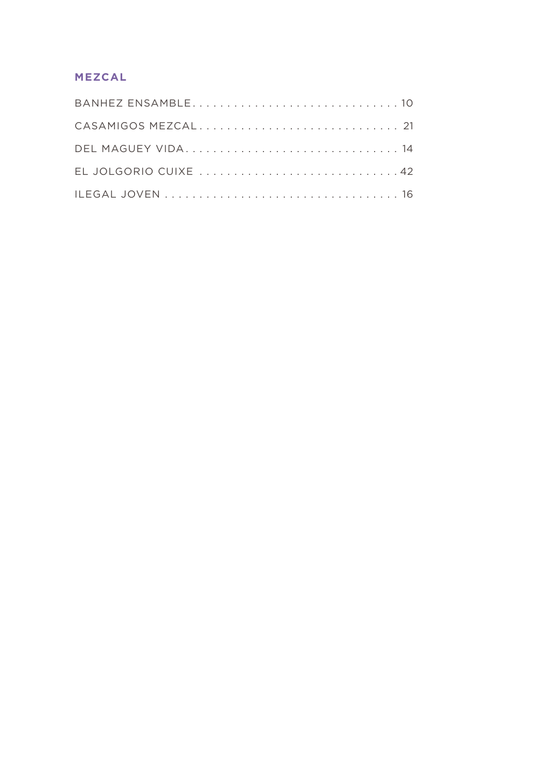## **mezcal**

| DEL MAGUEY VIDA 14   |
|----------------------|
| EL JOLGORIO CUIXE 42 |
|                      |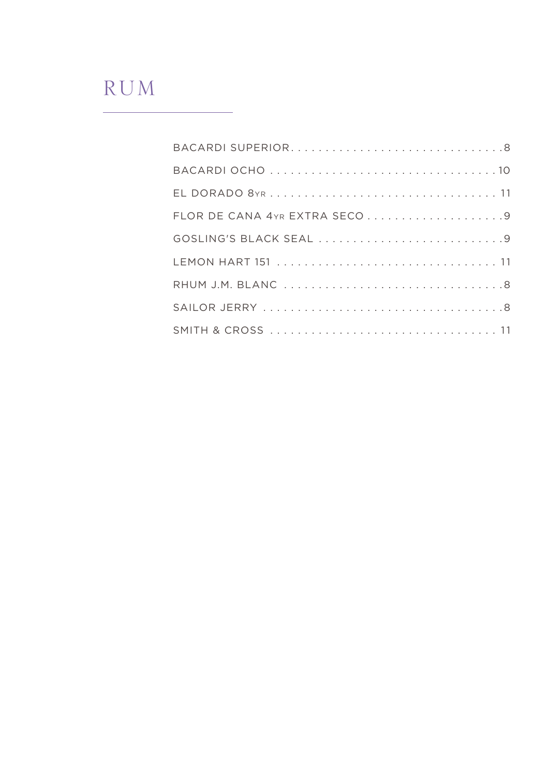## RUM

| FLOR DE CANA 4YR EXTRA SECO9 |
|------------------------------|
| GOSLING'S BLACK SEAL 9       |
|                              |
|                              |
|                              |
|                              |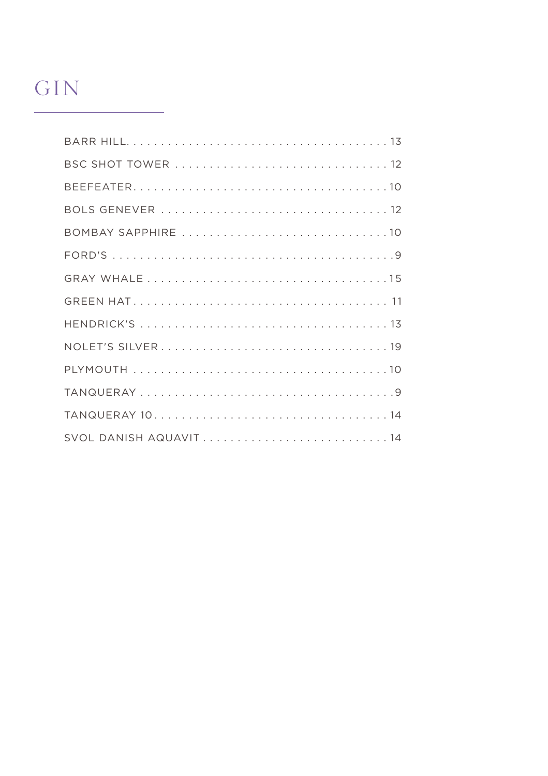## GIN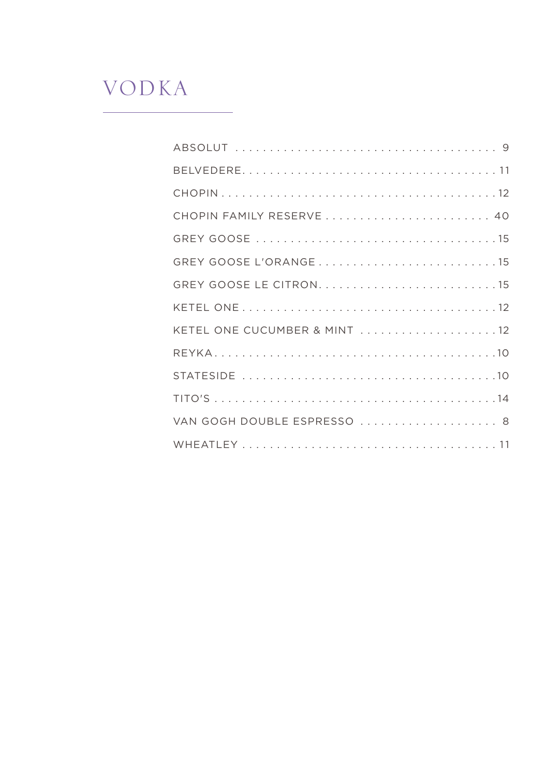## VODKA

L,

| CHOPIN FAMILY RESERVE  40    |
|------------------------------|
|                              |
|                              |
|                              |
|                              |
| KETEL ONE CUCUMBER & MINT 12 |
|                              |
|                              |
|                              |
| VAN GOGH DOUBLE ESPRESSO  8  |
|                              |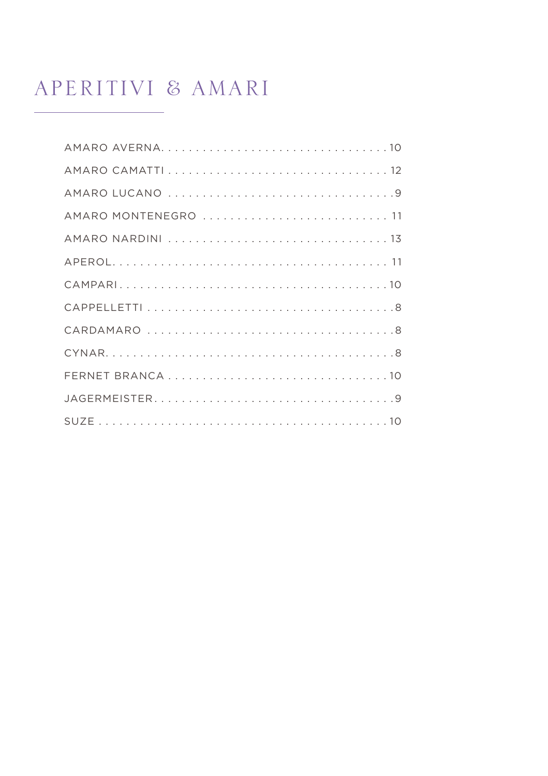## APERITIVI & AMARI

| AMARO MONTENEGRO  11 |
|----------------------|
|                      |
|                      |
|                      |
|                      |
|                      |
|                      |
|                      |
|                      |
|                      |